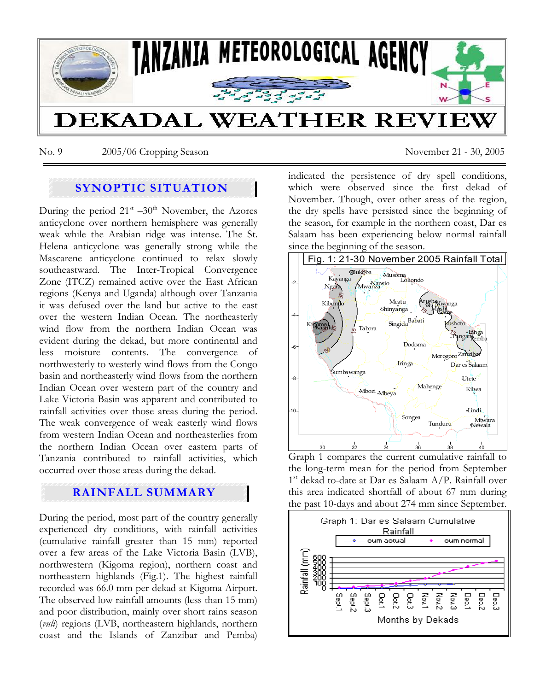

No. 9 2005/06 Cropping Season November 21 - 30, 2005

# **SYNOPTIC SITUATION**

During the period  $21<sup>st</sup> - 30<sup>th</sup>$  November, the Azores anticyclone over northern hemisphere was generally weak while the Arabian ridge was intense. The St. Helena anticyclone was generally strong while the Mascarene anticyclone continued to relax slowly southeastward. The Inter-Tropical Convergence Zone (ITCZ) remained active over the East African regions (Kenya and Uganda) although over Tanzania it was defused over the land but active to the east over the western Indian Ocean. The northeasterly wind flow from the northern Indian Ocean was evident during the dekad, but more continental and less moisture contents. The convergence of northwesterly to westerly wind flows from the Congo basin and northeasterly wind flows from the northern Indian Ocean over western part of the country and Lake Victoria Basin was apparent and contributed to rainfall activities over those areas during the period. The weak convergence of weak easterly wind flows from western Indian Ocean and northeasterlies from the northern Indian Ocean over eastern parts of Tanzania contributed to rainfall activities, which occurred over those areas during the dekad.

## **RAINFALL SUMMARY**

During the period, most part of the country generally experienced dry conditions, with rainfall activities (cumulative rainfall greater than 15 mm) reported over a few areas of the Lake Victoria Basin (LVB), northwestern (Kigoma region), northern coast and northeastern highlands (Fig.1). The highest rainfall recorded was 66.0 mm per dekad at Kigoma Airport. The observed low rainfall amounts (less than 15 mm) and poor distribution, mainly over short rains season (*vuli*) regions (LVB, northeastern highlands, northern coast and the Islands of Zanzibar and Pemba)

indicated the persistence of dry spell conditions, which were observed since the first dekad of November. Though, over other areas of the region, the dry spells have persisted since the beginning of the season, for example in the northern coast, Dar es Salaam has been experiencing below normal rainfall since the beginning of the season.



Graph 1 compares the current cumulative rainfall to the long-term mean for the period from September 1<sup>st</sup> dekad to-date at Dar es Salaam A/P. Rainfall over this area indicated shortfall of about 67 mm during the past 10-days and about 274 mm since September.